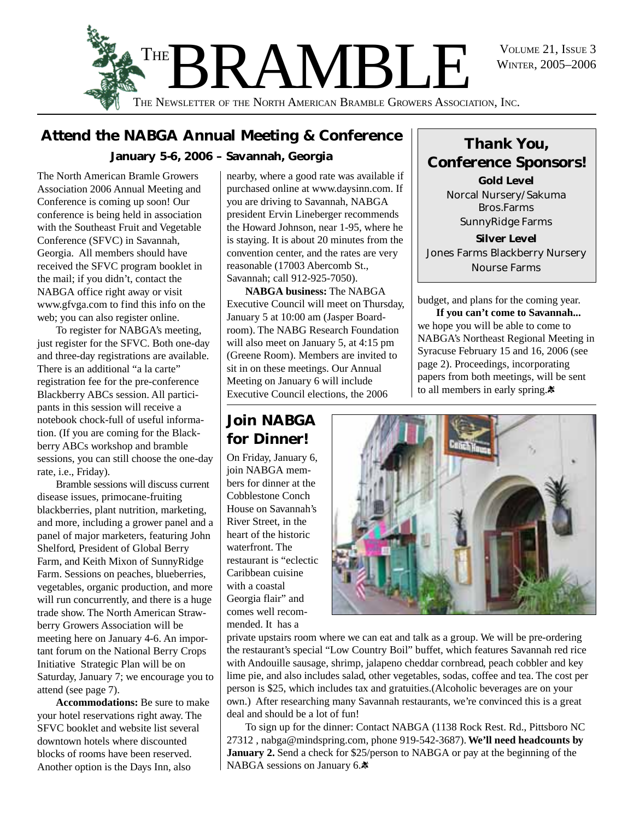WINTER, 2005–2006



### **Attend the NABGA Annual Meeting & Conference January 5-6, 2006 – Savannah, Georgia**

The North American Bramle Growers Association 2006 Annual Meeting and Conference is coming up soon! Our conference is being held in association with the Southeast Fruit and Vegetable Conference (SFVC) in Savannah, Georgia. All members should have received the SFVC program booklet in the mail; if you didn't, contact the NABGA office right away or visit www.gfvga.com to find this info on the web; you can also register online.

To register for NABGA's meeting, just register for the SFVC. Both one-day and three-day registrations are available. There is an additional "a la carte" registration fee for the pre-conference Blackberry ABCs session. All participants in this session will receive a notebook chock-full of useful information. (If you are coming for the Blackberry ABCs workshop and bramble sessions, you can still choose the one-day rate, i.e., Friday).

Bramble sessions will discuss current disease issues, primocane-fruiting blackberries, plant nutrition, marketing, and more, including a grower panel and a panel of major marketers, featuring John Shelford, President of Global Berry Farm, and Keith Mixon of SunnyRidge Farm. Sessions on peaches, blueberries, vegetables, organic production, and more will run concurrently, and there is a huge trade show. The North American Strawberry Growers Association will be meeting here on January 4-6. An important forum on the National Berry Crops Initiative Strategic Plan will be on Saturday, January 7; we encourage you to attend (see page 7).

**Accommodations:** Be sure to make your hotel reservations right away. The SFVC booklet and website list several downtown hotels where discounted blocks of rooms have been reserved. Another option is the Days Inn, also

nearby, where a good rate was available if purchased online at www.daysinn.com. If you are driving to Savannah, NABGA president Ervin Lineberger recommends the Howard Johnson, near 1-95, where he is staying. It is about 20 minutes from the convention center, and the rates are very reasonable (17003 Abercomb St., Savannah; call 912-925-7050).

**NABGA business:** The NABGA Executive Council will meet on Thursday, January 5 at 10:00 am (Jasper Boardroom). The NABG Research Foundation will also meet on January 5, at 4:15 pm (Greene Room). Members are invited to sit in on these meetings. Our Annual Meeting on January 6 will include Executive Council elections, the 2006

### **Join NABGA for Dinner!**

On Friday, January 6, join NABGA members for dinner at the Cobblestone Conch House on Savannah's River Street, in the heart of the historic waterfront. The restaurant is "eclectic Caribbean cuisine with a coastal Georgia flair" and comes well recommended. It has a

*Thank You, Conference Sponsors!* **Gold Level**

Norcal Nursery/Sakuma Bros.Farms SunnyRidge Farms

**Silver Level** Jones Farms Blackberry Nursery Nourse Farms

budget, and plans for the coming year.

**If you can't come to Savannah...** we hope you will be able to come to NABGA's Northeast Regional Meeting in Syracuse February 15 and 16, 2006 (see page 2). Proceedings, incorporating papers from both meetings, will be sent to all members in early spring.



private upstairs room where we can eat and talk as a group. We will be pre-ordering the restaurant's special "Low Country Boil" buffet, which features Savannah red rice with Andouille sausage, shrimp, jalapeno cheddar cornbread, peach cobbler and key lime pie, and also includes salad, other vegetables, sodas, coffee and tea. The cost per person is \$25, which includes tax and gratuities.(Alcoholic beverages are on your own.) After researching many Savannah restaurants, we're convinced this is a great deal and should be a lot of fun!

To sign up for the dinner: Contact NABGA (1138 Rock Rest. Rd., Pittsboro NC 27312 , nabga@mindspring.com, phone 919-542-3687). **We'll need headcounts by January 2.** Send a check for \$25/person to NABGA or pay at the beginning of the NABGA sessions on January 6.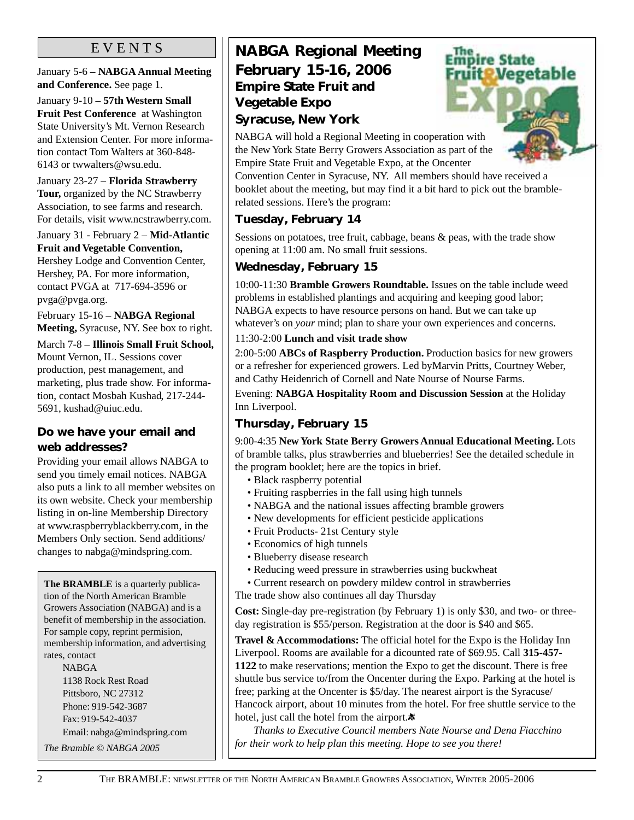#### E V E N T S

January 5-6 – **NABGA Annual Meeting and Conference.** See page 1.

January 9-10 – **57th Western Small Fruit Pest Conference** at Washington State University's Mt. Vernon Research and Extension Center. For more information contact Tom Walters at 360-848- 6143 or twwalters@wsu.edu.

January 23-27 – **Florida Strawberry Tour,** organized by the NC Strawberry Association, to see farms and research. For details, visit www.ncstrawberry.com.

January 31 - February 2 – **Mid-Atlantic Fruit and Vegetable Convention,** Hershey Lodge and Convention Center, Hershey, PA. For more information, contact PVGA at 717-694-3596 or pvga@pvga.org.

February 15-16 – **NABGA Regional Meeting,** Syracuse, NY. See box to right.

March 7-8 – **Illinois Small Fruit School,** Mount Vernon, IL. Sessions cover production, pest management, and marketing, plus trade show. For information, contact Mosbah Kushad, 217-244- 5691, kushad@uiuc.edu.

#### **Do we have your email and web addresses?**

Providing your email allows NABGA to send you timely email notices. NABGA also puts a link to all member websites on its own website. Check your membership listing in on-line Membership Directory at www.raspberryblackberry.com, in the Members Only section. Send additions/ changes to nabga@mindspring.com.

**The BRAMBLE** is a quarterly publication of the North American Bramble Growers Association (NABGA) and is a benefit of membership in the association. For sample copy, reprint permision, membership information, and advertising rates, contact NABGA

1138 Rock Rest Road Pittsboro, NC 27312 Phone: 919-542-3687 Fax: 919-542-4037 Email: nabga@mindspring.com

*The Bramble © NABGA 2005*

### **NABGA Regional Meeting February 15-16, 2006 Empire State Fruit and Vegetable Expo Syracuse, New York**



NABGA will hold a Regional Meeting in cooperation with the New York State Berry Growers Association as part of the Empire State Fruit and Vegetable Expo, at the Oncenter

Convention Center in Syracuse, NY. All members should have received a booklet about the meeting, but may find it a bit hard to pick out the bramblerelated sessions. Here's the program:

#### **Tuesday, February 14**

Sessions on potatoes, tree fruit, cabbage, beans & peas, with the trade show opening at 11:00 am. No small fruit sessions.

#### **Wednesday, February 15**

10:00-11:30 **Bramble Growers Roundtable.** Issues on the table include weed problems in established plantings and acquiring and keeping good labor; NABGA expects to have resource persons on hand. But we can take up whatever's on *your* mind; plan to share your own experiences and concerns.

#### 11:30-2:00 **Lunch and visit trade show**

2:00-5:00 **ABCs of Raspberry Production.** Production basics for new growers or a refresher for experienced growers. Led byMarvin Pritts, Courtney Weber, and Cathy Heidenrich of Cornell and Nate Nourse of Nourse Farms.

Evening: **NABGA Hospitality Room and Discussion Session** at the Holiday Inn Liverpool.

#### **Thursday, February 15**

9:00-4:35 **New York State Berry Growers Annual Educational Meeting.** Lots of bramble talks, plus strawberries and blueberries! See the detailed schedule in the program booklet; here are the topics in brief.

- Black raspberry potential
- Fruiting raspberries in the fall using high tunnels
- NABGA and the national issues affecting bramble growers
- New developments for efficient pesticide applications
- Fruit Products- 21st Century style
- Economics of high tunnels
- Blueberry disease research
- Reducing weed pressure in strawberries using buckwheat
- Current research on powdery mildew control in strawberries
- The trade show also continues all day Thursday

**Cost:** Single-day pre-registration (by February 1) is only \$30, and two- or threeday registration is \$55/person. Registration at the door is \$40 and \$65.

**Travel & Accommodations:** The official hotel for the Expo is the Holiday Inn Liverpool. Rooms are available for a dicounted rate of \$69.95. Call **315-457- 1122** to make reservations; mention the Expo to get the discount. There is free shuttle bus service to/from the Oncenter during the Expo. Parking at the hotel is free; parking at the Oncenter is \$5/day. The nearest airport is the Syracuse/ Hancock airport, about 10 minutes from the hotel. For free shuttle service to the hotel, just call the hotel from the airport. $\ast$ 

*Thanks to Executive Council members Nate Nourse and Dena Fiacchino for their work to help plan this meeting. Hope to see you there!*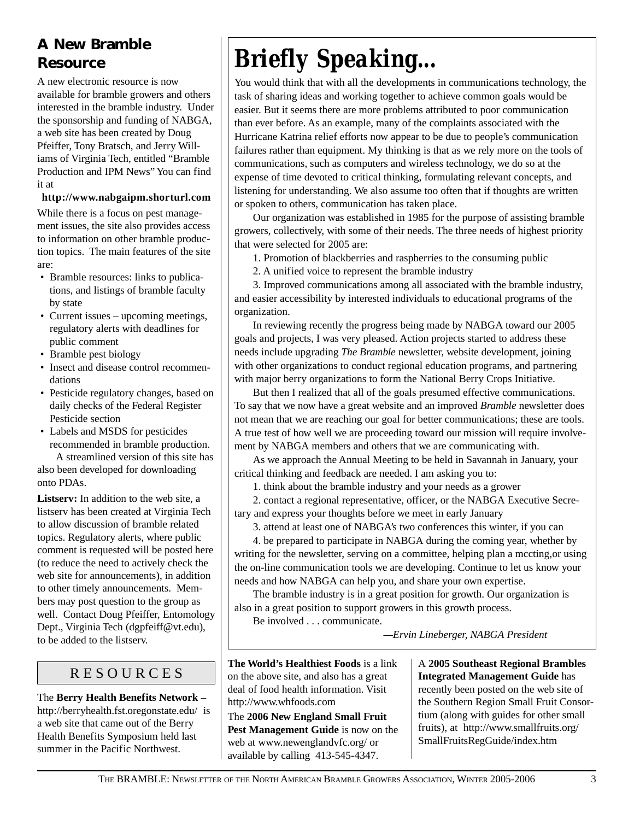### **A New Bramble Resource**

A new electronic resource is now available for bramble growers and others interested in the bramble industry. Under the sponsorship and funding of NABGA, a web site has been created by Doug Pfeiffer, Tony Bratsch, and Jerry Williams of Virginia Tech, entitled "Bramble Production and IPM News" You can find it at

**http://www.nabgaipm.shorturl.com**

While there is a focus on pest management issues, the site also provides access to information on other bramble production topics. The main features of the site are:

- Bramble resources: links to publications, and listings of bramble faculty by state
- Current issues upcoming meetings, regulatory alerts with deadlines for public comment
- Bramble pest biology
- Insect and disease control recommendations
- Pesticide regulatory changes, based on daily checks of the Federal Register Pesticide section
- Labels and MSDS for pesticides recommended in bramble production.

A streamlined version of this site has also been developed for downloading onto PDAs.

**Listserv:** In addition to the web site, a listserv has been created at Virginia Tech to allow discussion of bramble related topics. Regulatory alerts, where public comment is requested will be posted here (to reduce the need to actively check the web site for announcements), in addition to other timely announcements. Members may post question to the group as well. Contact Doug Pfeiffer, Entomology Dept., Virginia Tech (dgpfeiff@vt.edu), to be added to the listserv.

### R E S O U R C E S

The **Berry Health Benefits Network** – http://berryhealth.fst.oregonstate.edu/ is a web site that came out of the Berry Health Benefits Symposium held last summer in the Pacific Northwest.

# *Briefly Speaking...*

You would think that with all the developments in communications technology, the task of sharing ideas and working together to achieve common goals would be easier. But it seems there are more problems attributed to poor communication than ever before. As an example, many of the complaints associated with the Hurricane Katrina relief efforts now appear to be due to people's communication failures rather than equipment. My thinking is that as we rely more on the tools of communications, such as computers and wireless technology, we do so at the expense of time devoted to critical thinking, formulating relevant concepts, and listening for understanding. We also assume too often that if thoughts are written or spoken to others, communication has taken place.

Our organization was established in 1985 for the purpose of assisting bramble growers, collectively, with some of their needs. The three needs of highest priority that were selected for 2005 are:

1. Promotion of blackberries and raspberries to the consuming public

2. A unified voice to represent the bramble industry

3. Improved communications among all associated with the bramble industry, and easier accessibility by interested individuals to educational programs of the organization.

In reviewing recently the progress being made by NABGA toward our 2005 goals and projects, I was very pleased. Action projects started to address these needs include upgrading *The Bramble* newsletter, website development, joining with other organizations to conduct regional education programs, and partnering with major berry organizations to form the National Berry Crops Initiative.

But then I realized that all of the goals presumed effective communications. To say that we now have a great website and an improved *Bramble* newsletter does not mean that we are reaching our goal for better communications; these are tools. A true test of how well we are proceeding toward our mission will require involvement by NABGA members and others that we are communicating with.

As we approach the Annual Meeting to be held in Savannah in January, your critical thinking and feedback are needed. I am asking you to:

1. think about the bramble industry and your needs as a grower

2. contact a regional representative, officer, or the NABGA Executive Secretary and express your thoughts before we meet in early January

3. attend at least one of NABGA's two conferences this winter, if you can

4. be prepared to participate in NABGA during the coming year, whether by writing for the newsletter, serving on a committee, helping plan a mccting,or using the on-line communication tools we are developing. Continue to let us know your needs and how NABGA can help you, and share your own expertise.

The bramble industry is in a great position for growth. Our organization is also in a great position to support growers in this growth process.

Be involved . . . communicate.

*—Ervin Lineberger, NABGA President*

**The World's Healthiest Foods** is a link on the above site, and also has a great deal of food health information. Visit http://www.whfoods.com

The **2006 New England Small Fruit Pest Management Guide** is now on the web at www.newenglandvfc.org/ or available by calling 413-545-4347.

A **2005 Southeast Regional Brambles Integrated Management Guide** has recently been posted on the web site of the Southern Region Small Fruit Consortium (along with guides for other small fruits), at http://www.smallfruits.org/ SmallFruitsRegGuide/index.htm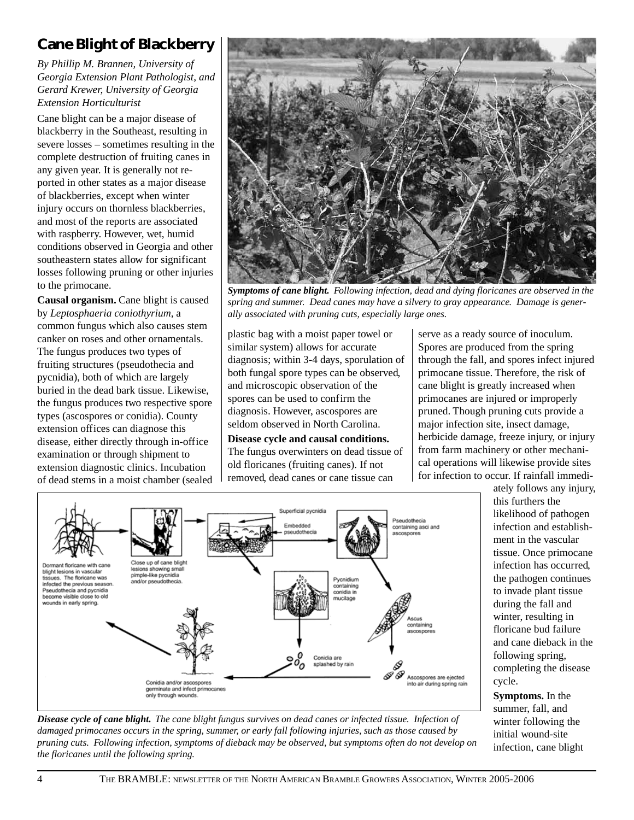### **Cane Blight of Blackberry**

*By Phillip M. Brannen, University of Georgia Extension Plant Pathologist, and Gerard Krewer, University of Georgia Extension Horticulturist*

Cane blight can be a major disease of blackberry in the Southeast, resulting in severe losses – sometimes resulting in the complete destruction of fruiting canes in any given year. It is generally not reported in other states as a major disease of blackberries, except when winter injury occurs on thornless blackberries, and most of the reports are associated with raspberry. However, wet, humid conditions observed in Georgia and other southeastern states allow for significant losses following pruning or other injuries to the primocane.

**Causal organism.** Cane blight is caused by *Leptosphaeria coniothyrium*, a common fungus which also causes stem canker on roses and other ornamentals. The fungus produces two types of fruiting structures (pseudothecia and pycnidia), both of which are largely buried in the dead bark tissue. Likewise, the fungus produces two respective spore types (ascospores or conidia). County extension offices can diagnose this disease, either directly through in-office examination or through shipment to extension diagnostic clinics. Incubation of dead stems in a moist chamber (sealed



*Symptoms of cane blight. Following infection, dead and dying floricanes are observed in the spring and summer. Dead canes may have a silvery to gray appearance. Damage is generally associated with pruning cuts, especially large ones.*

plastic bag with a moist paper towel or similar system) allows for accurate diagnosis; within 3-4 days, sporulation of both fungal spore types can be observed, and microscopic observation of the spores can be used to confirm the diagnosis. However, ascospores are seldom observed in North Carolina.

**Disease cycle and causal conditions.** The fungus overwinters on dead tissue of old floricanes (fruiting canes). If not removed, dead canes or cane tissue can

serve as a ready source of inoculum. Spores are produced from the spring through the fall, and spores infect injured primocane tissue. Therefore, the risk of cane blight is greatly increased when primocanes are injured or improperly pruned. Though pruning cuts provide a major infection site, insect damage, herbicide damage, freeze injury, or injury from farm machinery or other mechanical operations will likewise provide sites for infection to occur. If rainfall immedi-



*Disease cycle of cane blight. The cane blight fungus survives on dead canes or infected tissue. Infection of damaged primocanes occurs in the spring, summer, or early fall following injuries, such as those caused by pruning cuts. Following infection, symptoms of dieback may be observed, but symptoms often do not develop on the floricanes until the following spring.*

ately follows any injury, this furthers the likelihood of pathogen infection and establishment in the vascular tissue. Once primocane infection has occurred, the pathogen continues to invade plant tissue during the fall and winter, resulting in floricane bud failure and cane dieback in the following spring, completing the disease cycle.

**Symptoms.** In the summer, fall, and winter following the initial wound-site infection, cane blight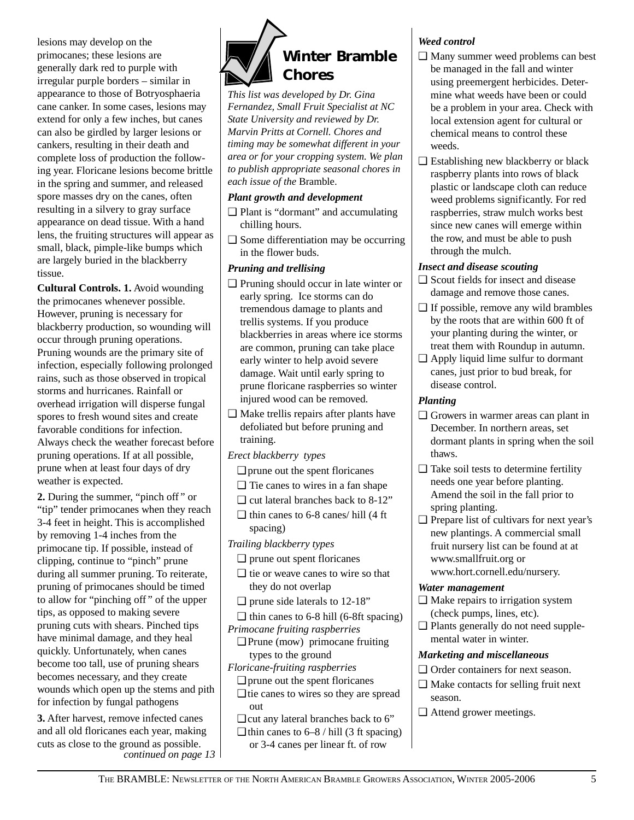lesions may develop on the primocanes; these lesions are generally dark red to purple with irregular purple borders – similar in appearance to those of Botryosphaeria cane canker. In some cases, lesions may extend for only a few inches, but canes can also be girdled by larger lesions or cankers, resulting in their death and complete loss of production the following year. Floricane lesions become brittle in the spring and summer, and released spore masses dry on the canes, often resulting in a silvery to gray surface appearance on dead tissue. With a hand lens, the fruiting structures will appear as small, black, pimple-like bumps which are largely buried in the blackberry tissue.

**Cultural Controls. 1.** Avoid wounding the primocanes whenever possible. However, pruning is necessary for blackberry production, so wounding will occur through pruning operations. Pruning wounds are the primary site of infection, especially following prolonged rains, such as those observed in tropical storms and hurricanes. Rainfall or overhead irrigation will disperse fungal spores to fresh wound sites and create favorable conditions for infection. Always check the weather forecast before pruning operations. If at all possible, prune when at least four days of dry weather is expected.

**2.** During the summer, "pinch off " or "tip" tender primocanes when they reach 3-4 feet in height. This is accomplished by removing 1-4 inches from the primocane tip. If possible, instead of clipping, continue to "pinch" prune during all summer pruning. To reiterate, pruning of primocanes should be timed to allow for "pinching off " of the upper tips, as opposed to making severe pruning cuts with shears. Pinched tips have minimal damage, and they heal quickly. Unfortunately, when canes become too tall, use of pruning shears becomes necessary, and they create wounds which open up the stems and pith for infection by fungal pathogens

**3.** After harvest, remove infected canes and all old floricanes each year, making cuts as close to the ground as possible. *continued on page 13*



*This list was developed by Dr. Gina Fernandez, Small Fruit Specialist at NC State University and reviewed by Dr. Marvin Pritts at Cornell. Chores and timing may be somewhat different in your area or for your cropping system. We plan to publish appropriate seasonal chores in each issue of the* Bramble.

#### *Plant growth and development*

- ❑ Plant is "dormant" and accumulating chilling hours.
- ❑ Some differentiation may be occurring in the flower buds.

#### *Pruning and trellising*

- ❑ Pruning should occur in late winter or early spring. Ice storms can do tremendous damage to plants and trellis systems. If you produce blackberries in areas where ice storms are common, pruning can take place early winter to help avoid severe damage. Wait until early spring to prune floricane raspberries so winter injured wood can be removed.
- ❑ Make trellis repairs after plants have defoliated but before pruning and training.
- *Erect blackberry types*
	- ❑ prune out the spent floricanes
	- ❑ Tie canes to wires in a fan shape
	- ❑ cut lateral branches back to 8-12"
	- ❑ thin canes to 6-8 canes/ hill (4 ft spacing)

*Trailing blackberry types*

- ❑ prune out spent floricanes
- ❑ tie or weave canes to wire so that they do not overlap
- $\Box$  prune side laterals to 12-18"
- $\Box$  thin canes to 6-8 hill (6-8ft spacing) *Primocane fruiting raspberries*
- ❑ Prune (mow) primocane fruiting types to the ground
- *Floricane-fruiting raspberries*
- ❑ prune out the spent floricanes
- ❑ tie canes to wires so they are spread out
- ❑ cut any lateral branches back to 6"
- $\Box$  thin canes to 6–8 / hill (3 ft spacing) or 3-4 canes per linear ft. of row

#### *Weed control*

- ❑ Many summer weed problems can best be managed in the fall and winter using preemergent herbicides. Determine what weeds have been or could be a problem in your area. Check with local extension agent for cultural or chemical means to control these weeds.
- $\Box$  Establishing new blackberry or black raspberry plants into rows of black plastic or landscape cloth can reduce weed problems significantly. For red raspberries, straw mulch works best since new canes will emerge within the row, and must be able to push through the mulch.

#### *Insect and disease scouting*

- ❑ Scout fields for insect and disease damage and remove those canes.
- ❑ If possible, remove any wild brambles by the roots that are within 600 ft of your planting during the winter, or treat them with Roundup in autumn.
- ❑ Apply liquid lime sulfur to dormant canes, just prior to bud break, for disease control.

#### *Planting*

- ❑ Growers in warmer areas can plant in December. In northern areas, set dormant plants in spring when the soil thaws.
- ❑ Take soil tests to determine fertility needs one year before planting. Amend the soil in the fall prior to spring planting.
- ❑ Prepare list of cultivars for next year's new plantings. A commercial small fruit nursery list can be found at at www.smallfruit.org or www.hort.cornell.edu/nursery.

#### *Water management*

- ❑ Make repairs to irrigation system (check pumps, lines, etc).
- ❑ Plants generally do not need supplemental water in winter.

#### *Marketing and miscellaneous*

- ❑ Order containers for next season.
- ❑ Make contacts for selling fruit next season.
- ❑ Attend grower meetings.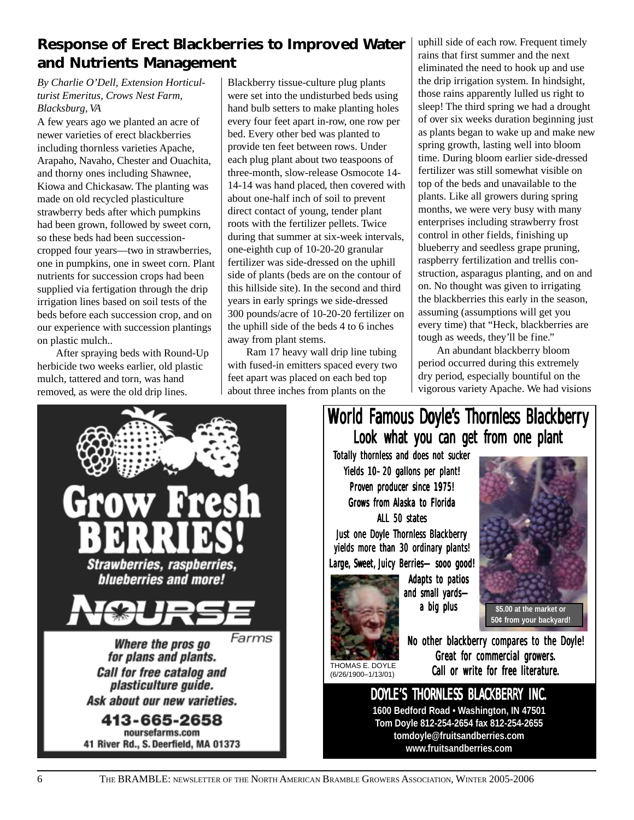### **Response of Erect Blackberries to Improved Water and Nutrients Management**

#### *By Charlie O'Dell, Extension Horticulturist Emeritus, Crows Nest Farm, Blacksburg, VA*

A few years ago we planted an acre of newer varieties of erect blackberries including thornless varieties Apache, Arapaho, Navaho, Chester and Ouachita, and thorny ones including Shawnee, Kiowa and Chickasaw. The planting was made on old recycled plasticulture strawberry beds after which pumpkins had been grown, followed by sweet corn, so these beds had been successioncropped four years—two in strawberries, one in pumpkins, one in sweet corn. Plant nutrients for succession crops had been supplied via fertigation through the drip irrigation lines based on soil tests of the beds before each succession crop, and on our experience with succession plantings on plastic mulch..

After spraying beds with Round-Up herbicide two weeks earlier, old plastic mulch, tattered and torn, was hand removed, as were the old drip lines.

Blackberry tissue-culture plug plants were set into the undisturbed beds using hand bulb setters to make planting holes every four feet apart in-row, one row per bed. Every other bed was planted to provide ten feet between rows. Under each plug plant about two teaspoons of three-month, slow-release Osmocote 14- 14-14 was hand placed, then covered with about one-half inch of soil to prevent direct contact of young, tender plant roots with the fertilizer pellets. Twice during that summer at six-week intervals, one-eighth cup of 10-20-20 granular fertilizer was side-dressed on the uphill side of plants (beds are on the contour of this hillside site). In the second and third years in early springs we side-dressed 300 pounds/acre of 10-20-20 fertilizer on the uphill side of the beds 4 to 6 inches away from plant stems.

Ram 17 heavy wall drip line tubing with fused-in emitters spaced every two feet apart was placed on each bed top about three inches from plants on the

uphill side of each row. Frequent timely rains that first summer and the next eliminated the need to hook up and use the drip irrigation system. In hindsight, those rains apparently lulled us right to sleep! The third spring we had a drought of over six weeks duration beginning just as plants began to wake up and make new spring growth, lasting well into bloom time. During bloom earlier side-dressed fertilizer was still somewhat visible on top of the beds and unavailable to the plants. Like all growers during spring months, we were very busy with many enterprises including strawberry frost control in other fields, finishing up blueberry and seedless grape pruning, raspberry fertilization and trellis construction, asparagus planting, and on and on. No thought was given to irrigating the blackberries this early in the season, assuming (assumptions will get you every time) that "Heck, blackberries are tough as weeds, they'll be fine."

An abundant blackberry bloom period occurred during this extremely dry period, especially bountiful on the vigorous variety Apache. We had visions



### World Famous Doyle's Thornless Blackberry Look what you can get from one plant

Totally thornless and does not sucker Yields 10–20 gallons per plant! Proven producer since 1975! Grows from Alaska to Florida ALL 50 states

Just one Doyle Thornless Blackberry yields more than 30 ordinary plants! Large, Sweet, Juicy Berries-sooo good!



Adapts to patios and small yards a big plus



**50¢ from your backyard!**

THOMAS E. DOYLE (6/26/1900–1/13/01)

No other blackberry compares to the Doyle! Great for commercial growers. Call or write for free literature.

# DOYLE'S THORNLESS BLACKBERRY INC.

**1600 Bedford Road • Washington, IN 47501 Tom Doyle 812-254-2654 fax 812-254-2655 tomdoyle@fruitsandberries.com www.fruitsandberries.com**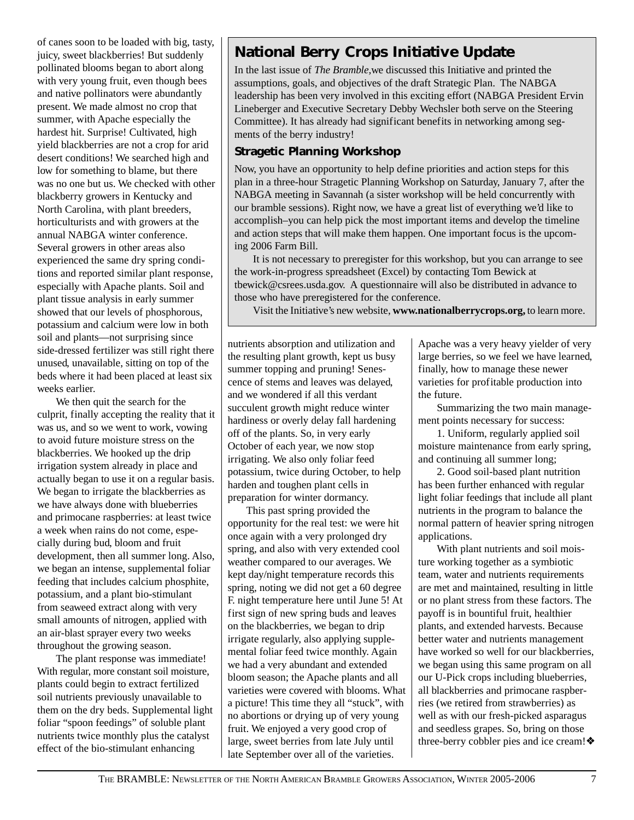of canes soon to be loaded with big, tasty, juicy, sweet blackberries! But suddenly pollinated blooms began to abort along with very young fruit, even though bees and native pollinators were abundantly present. We made almost no crop that summer, with Apache especially the hardest hit. Surprise! Cultivated, high yield blackberries are not a crop for arid desert conditions! We searched high and low for something to blame, but there was no one but us. We checked with other blackberry growers in Kentucky and North Carolina, with plant breeders, horticulturists and with growers at the annual NABGA winter conference. Several growers in other areas also experienced the same dry spring conditions and reported similar plant response, especially with Apache plants. Soil and plant tissue analysis in early summer showed that our levels of phosphorous, potassium and calcium were low in both soil and plants—not surprising since side-dressed fertilizer was still right there unused, unavailable, sitting on top of the beds where it had been placed at least six weeks earlier.

We then quit the search for the culprit, finally accepting the reality that it was us, and so we went to work, vowing to avoid future moisture stress on the blackberries. We hooked up the drip irrigation system already in place and actually began to use it on a regular basis. We began to irrigate the blackberries as we have always done with blueberries and primocane raspberries: at least twice a week when rains do not come, especially during bud, bloom and fruit development, then all summer long. Also, we began an intense, supplemental foliar feeding that includes calcium phosphite, potassium, and a plant bio-stimulant from seaweed extract along with very small amounts of nitrogen, applied with an air-blast sprayer every two weeks throughout the growing season.

The plant response was immediate! With regular, more constant soil moisture, plants could begin to extract fertilized soil nutrients previously unavailable to them on the dry beds. Supplemental light foliar "spoon feedings" of soluble plant nutrients twice monthly plus the catalyst effect of the bio-stimulant enhancing

### **National Berry Crops Initiative Update**

In the last issue of *The Bramble,*we discussed this Initiative and printed the assumptions, goals, and objectives of the draft Strategic Plan. The NABGA leadership has been very involved in this exciting effort (NABGA President Ervin Lineberger and Executive Secretary Debby Wechsler both serve on the Steering Committee). It has already had significant benefits in networking among segments of the berry industry!

#### **Stragetic Planning Workshop**

Now, you have an opportunity to help define priorities and action steps for this plan in a three-hour Stragetic Planning Workshop on Saturday, January 7, after the NABGA meeting in Savannah (a sister workshop will be held concurrently with our bramble sessions). Right now, we have a great list of everything we'd like to accomplish–you can help pick the most important items and develop the timeline and action steps that will make them happen. One important focus is the upcoming 2006 Farm Bill.

It is not necessary to preregister for this workshop, but you can arrange to see the work-in-progress spreadsheet (Excel) by contacting Tom Bewick at tbewick@csrees.usda.gov. A questionnaire will also be distributed in advance to those who have preregistered for the conference.

Visit the Initiative's new website, **www.nationalberrycrops.org,** to learn more.

nutrients absorption and utilization and the resulting plant growth, kept us busy summer topping and pruning! Senescence of stems and leaves was delayed, and we wondered if all this verdant succulent growth might reduce winter hardiness or overly delay fall hardening off of the plants. So, in very early October of each year, we now stop irrigating. We also only foliar feed potassium, twice during October, to help harden and toughen plant cells in preparation for winter dormancy.

This past spring provided the opportunity for the real test: we were hit once again with a very prolonged dry spring, and also with very extended cool weather compared to our averages. We kept day/night temperature records this spring, noting we did not get a 60 degree F. night temperature here until June 5! At first sign of new spring buds and leaves on the blackberries, we began to drip irrigate regularly, also applying supplemental foliar feed twice monthly. Again we had a very abundant and extended bloom season; the Apache plants and all varieties were covered with blooms. What a picture! This time they all "stuck", with no abortions or drying up of very young fruit. We enjoyed a very good crop of large, sweet berries from late July until late September over all of the varieties.

Apache was a very heavy yielder of very large berries, so we feel we have learned, finally, how to manage these newer varieties for profitable production into the future.

Summarizing the two main management points necessary for success:

1. Uniform, regularly applied soil moisture maintenance from early spring, and continuing all summer long;

2. Good soil-based plant nutrition has been further enhanced with regular light foliar feedings that include all plant nutrients in the program to balance the normal pattern of heavier spring nitrogen applications.

With plant nutrients and soil moisture working together as a symbiotic team, water and nutrients requirements are met and maintained, resulting in little or no plant stress from these factors. The payoff is in bountiful fruit, healthier plants, and extended harvests. Because better water and nutrients management have worked so well for our blackberries, we began using this same program on all our U-Pick crops including blueberries, all blackberries and primocane raspberries (we retired from strawberries) as well as with our fresh-picked asparagus and seedless grapes. So, bring on those three-berry cobbler pies and ice cream!❖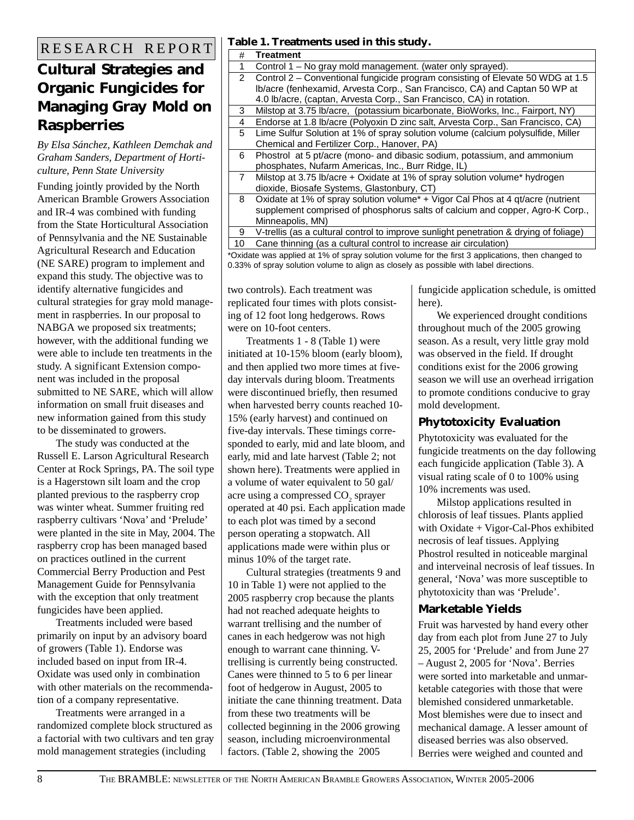### **Cultural Strategies and Organic Fungicides for Managing Gray Mold on Raspberries**

*By Elsa Sánchez, Kathleen Demchak and Graham Sanders, Department of Horticulture, Penn State University*

Funding jointly provided by the North American Bramble Growers Association and IR-4 was combined with funding from the State Horticultural Association of Pennsylvania and the NE Sustainable Agricultural Research and Education (NE SARE) program to implement and expand this study. The objective was to identify alternative fungicides and cultural strategies for gray mold management in raspberries. In our proposal to NABGA we proposed six treatments; however, with the additional funding we were able to include ten treatments in the study. A significant Extension component was included in the proposal submitted to NE SARE, which will allow information on small fruit diseases and new information gained from this study to be disseminated to growers.

The study was conducted at the Russell E. Larson Agricultural Research Center at Rock Springs, PA. The soil type is a Hagerstown silt loam and the crop planted previous to the raspberry crop was winter wheat. Summer fruiting red raspberry cultivars 'Nova' and 'Prelude' were planted in the site in May, 2004. The raspberry crop has been managed based on practices outlined in the current Commercial Berry Production and Pest Management Guide for Pennsylvania with the exception that only treatment fungicides have been applied.

Treatments included were based primarily on input by an advisory board of growers (Table 1). Endorse was included based on input from IR-4. Oxidate was used only in combination with other materials on the recommendation of a company representative.

Treatments were arranged in a randomized complete block structured as a factorial with two cultivars and ten gray mold management strategies (including

### R E S E A R C H R E P O R T **Table 1. Treatments used in this study.**

| $\sim$ 1. If cathering about in this beau $\mu$ . |                                                                                       |  |  |
|---------------------------------------------------|---------------------------------------------------------------------------------------|--|--|
| #                                                 | Treatment                                                                             |  |  |
| 1                                                 | Control 1 – No gray mold management. (water only sprayed).                            |  |  |
| $\overline{2}$                                    | Control 2 – Conventional fungicide program consisting of Elevate 50 WDG at 1.5        |  |  |
|                                                   | Ib/acre (fenhexamid, Arvesta Corp., San Francisco, CA) and Captan 50 WP at            |  |  |
|                                                   | 4.0 lb/acre, (captan, Arvesta Corp., San Francisco, CA) in rotation.                  |  |  |
| 3                                                 | Milstop at 3.75 lb/acre, (potassium bicarbonate, BioWorks, Inc., Fairport, NY)        |  |  |
| 4                                                 | Endorse at 1.8 lb/acre (Polyoxin D zinc salt, Arvesta Corp., San Francisco, CA)       |  |  |
| 5                                                 | Lime Sulfur Solution at 1% of spray solution volume (calcium polysulfide, Miller      |  |  |
|                                                   | Chemical and Fertilizer Corp., Hanover, PA)                                           |  |  |
| 6                                                 | Phostrol at 5 pt/acre (mono- and dibasic sodium, potassium, and ammonium              |  |  |
|                                                   | phosphates, Nufarm Americas, Inc., Burr Ridge, IL)                                    |  |  |
| $\overline{7}$                                    | Milstop at 3.75 lb/acre + Oxidate at 1% of spray solution volume* hydrogen            |  |  |
|                                                   | dioxide, Biosafe Systems, Glastonbury, CT)                                            |  |  |
| 8                                                 | Oxidate at 1% of spray solution volume* + Vigor Cal Phos at 4 gt/acre (nutrient       |  |  |
|                                                   | supplement comprised of phosphorus salts of calcium and copper, Agro-K Corp.,         |  |  |
|                                                   | Minneapolis, MN)                                                                      |  |  |
| 9                                                 | V-trellis (as a cultural control to improve sunlight penetration & drying of foliage) |  |  |
| 10                                                | Cane thinning (as a cultural control to increase air circulation)                     |  |  |

\*Oxidate was applied at 1% of spray solution volume for the first 3 applications, then changed to 0.33% of spray solution volume to align as closely as possible with label directions.

two controls). Each treatment was replicated four times with plots consisting of 12 foot long hedgerows. Rows were on 10-foot centers.

Treatments 1 - 8 (Table 1) were initiated at 10-15% bloom (early bloom), and then applied two more times at fiveday intervals during bloom. Treatments were discontinued briefly, then resumed when harvested berry counts reached 10- 15% (early harvest) and continued on five-day intervals. These timings corresponded to early, mid and late bloom, and early, mid and late harvest (Table 2; not shown here). Treatments were applied in a volume of water equivalent to 50 gal/ acre using a compressed  $\mathrm{CO}_2$  sprayer operated at 40 psi. Each application made to each plot was timed by a second person operating a stopwatch. All applications made were within plus or minus 10% of the target rate.

Cultural strategies (treatments 9 and 10 in Table 1) were not applied to the 2005 raspberry crop because the plants had not reached adequate heights to warrant trellising and the number of canes in each hedgerow was not high enough to warrant cane thinning. Vtrellising is currently being constructed. Canes were thinned to 5 to 6 per linear foot of hedgerow in August, 2005 to initiate the cane thinning treatment. Data from these two treatments will be collected beginning in the 2006 growing season, including microenvironmental factors. (Table 2, showing the 2005

fungicide application schedule, is omitted here).

We experienced drought conditions throughout much of the 2005 growing season. As a result, very little gray mold was observed in the field. If drought conditions exist for the 2006 growing season we will use an overhead irrigation to promote conditions conducive to gray mold development.

#### **Phytotoxicity Evaluation**

Phytotoxicity was evaluated for the fungicide treatments on the day following each fungicide application (Table 3). A visual rating scale of 0 to 100% using 10% increments was used.

Milstop applications resulted in chlorosis of leaf tissues. Plants applied with Oxidate + Vigor-Cal-Phos exhibited necrosis of leaf tissues. Applying Phostrol resulted in noticeable marginal and interveinal necrosis of leaf tissues. In general, 'Nova' was more susceptible to phytotoxicity than was 'Prelude'.

#### **Marketable Yields**

Fruit was harvested by hand every other day from each plot from June 27 to July 25, 2005 for 'Prelude' and from June 27 – August 2, 2005 for 'Nova'. Berries were sorted into marketable and unmarketable categories with those that were blemished considered unmarketable. Most blemishes were due to insect and mechanical damage. A lesser amount of diseased berries was also observed. Berries were weighed and counted and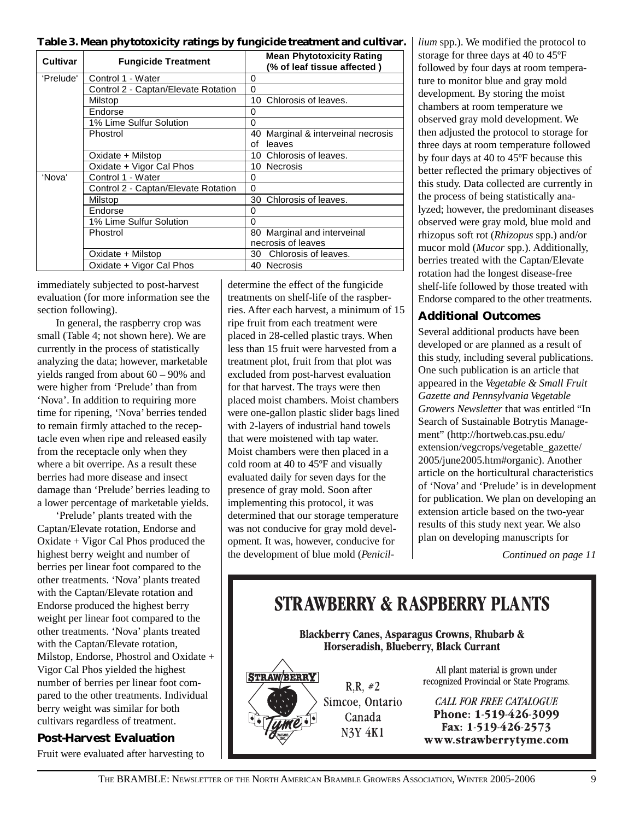**Table 3. Mean phytotoxicity ratings by fungicide treatment and cultivar.** *lium* spp.). We modified the protocol to

| <b>Cultivar</b> | <b>Fungicide Treatment</b>          | <b>Mean Phytotoxicity Rating</b><br>(% of leaf tissue affected) |  |
|-----------------|-------------------------------------|-----------------------------------------------------------------|--|
| 'Prelude'       | Control 1 - Water                   | 0                                                               |  |
|                 | Control 2 - Captan/Elevate Rotation | $\Omega$                                                        |  |
|                 | Milstop                             | 10 Chlorosis of leaves.                                         |  |
|                 | Endorse                             | 0                                                               |  |
|                 | 1% Lime Sulfur Solution             | 0                                                               |  |
|                 | Phostrol                            | 40 Marginal & interveinal necrosis                              |  |
|                 |                                     | leaves<br>οf                                                    |  |
|                 | Oxidate + Milstop                   | 10 Chlorosis of leaves.                                         |  |
|                 | Oxidate + Vigor Cal Phos            | 10 Necrosis                                                     |  |
| 'Nova'          | Control 1 - Water                   | 0                                                               |  |
|                 | Control 2 - Captan/Elevate Rotation | 0                                                               |  |
|                 | Milstop                             | 30 Chlorosis of leaves.                                         |  |
|                 | Endorse                             | 0                                                               |  |
|                 | 1% Lime Sulfur Solution             | 0                                                               |  |
|                 | Phostrol                            | 80 Marginal and interveinal                                     |  |
|                 |                                     | necrosis of leaves                                              |  |
|                 | Oxidate + Milstop                   | 30 Chlorosis of leaves.                                         |  |
|                 | Oxidate + Vigor Cal Phos            | 40 Necrosis                                                     |  |

immediately subjected to post-harvest evaluation (for more information see the section following).

In general, the raspberry crop was small (Table 4; not shown here). We are currently in the process of statistically analyzing the data; however, marketable yields ranged from about 60 – 90% and were higher from 'Prelude' than from 'Nova'. In addition to requiring more time for ripening, 'Nova' berries tended to remain firmly attached to the receptacle even when ripe and released easily from the receptacle only when they where a bit overripe. As a result these berries had more disease and insect damage than 'Prelude' berries leading to a lower percentage of marketable yields.

'Prelude' plants treated with the Captan/Elevate rotation, Endorse and Oxidate + Vigor Cal Phos produced the highest berry weight and number of berries per linear foot compared to the other treatments. 'Nova' plants treated with the Captan/Elevate rotation and Endorse produced the highest berry weight per linear foot compared to the other treatments. 'Nova' plants treated with the Captan/Elevate rotation, Milstop, Endorse, Phostrol and Oxidate + Vigor Cal Phos yielded the highest number of berries per linear foot compared to the other treatments. Individual berry weight was similar for both cultivars regardless of treatment.

#### **Post-Harvest Evaluation**

Fruit were evaluated after harvesting to

determine the effect of the fungicide treatments on shelf-life of the raspberries. After each harvest, a minimum of 15 ripe fruit from each treatment were placed in 28-celled plastic trays. When less than 15 fruit were harvested from a treatment plot, fruit from that plot was excluded from post-harvest evaluation for that harvest. The trays were then placed moist chambers. Moist chambers were one-gallon plastic slider bags lined with 2-layers of industrial hand towels that were moistened with tap water. Moist chambers were then placed in a cold room at 40 to 45ºF and visually evaluated daily for seven days for the presence of gray mold. Soon after implementing this protocol, it was determined that our storage temperature was not conducive for gray mold development. It was, however, conducive for the development of blue mold (*Penicil-* storage for three days at 40 to 45ºF followed by four days at room temperature to monitor blue and gray mold development. By storing the moist chambers at room temperature we observed gray mold development. We then adjusted the protocol to storage for three days at room temperature followed by four days at 40 to 45ºF because this better reflected the primary objectives of this study. Data collected are currently in the process of being statistically analyzed; however, the predominant diseases observed were gray mold, blue mold and rhizopus soft rot (*Rhizopus* spp.) and/or mucor mold (*Mucor* spp.). Additionally, berries treated with the Captan/Elevate rotation had the longest disease-free shelf-life followed by those treated with Endorse compared to the other treatments.

#### **Additional Outcomes**

Several additional products have been developed or are planned as a result of this study, including several publications. One such publication is an article that appeared in the *Vegetable & Small Fruit Gazette and Pennsylvania Vegetable Growers Newsletter* that was entitled "In Search of Sustainable Botrytis Management" (http://hortweb.cas.psu.edu/ extension/vegcrops/vegetable\_gazette/ 2005/june2005.htm#organic). Another article on the horticultural characteristics of 'Nova' and 'Prelude' is in development for publication. We plan on developing an extension article based on the two-year results of this study next year. We also plan on developing manuscripts for

*Continued on page 11*

# **STRAWBERRY & RASPBERRY PLANTS**

**Blackberry Canes, Asparagus Crowns, Rhubarb &** Horseradish, Blueberry, Black Currant



 $R.R. \#2$ Simcoe, Ontario Canada **N3Y 4K1** 

All plant material is grown under recognized Provincial or State Programs.

CALL FOR FREE CATALOGUE Phone: 1-519-426-3099 Fax: 1-519-426-2573 www.strawberrytyme.com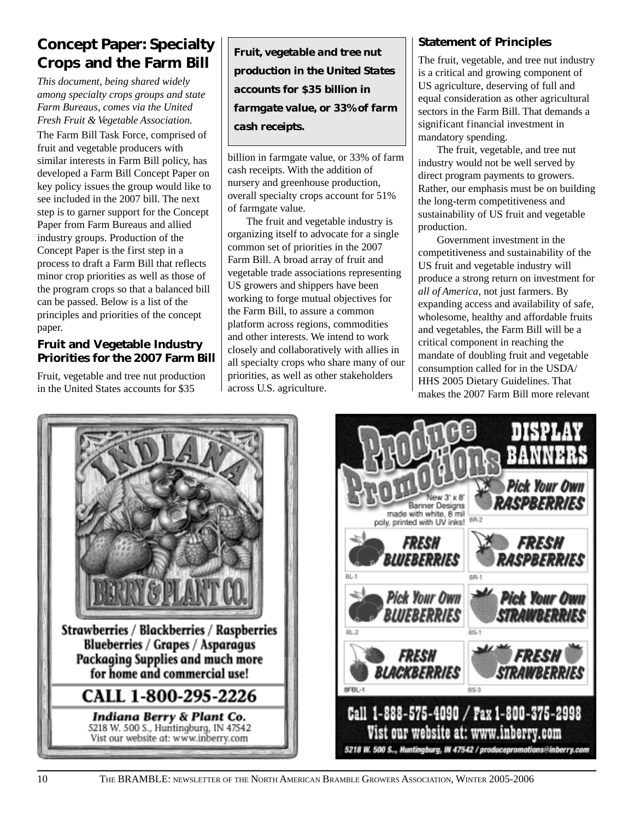### **Concept Paper: Specialty Crops and the Farm Bill**

*This document, being shared widely among specialty crops groups and state Farm Bureaus, comes via the United Fresh Fruit & Vegetable Association.*

The Farm Bill Task Force, comprised of fruit and vegetable producers with similar interests in Farm Bill policy, has developed a Farm Bill Concept Paper on key policy issues the group would like to see included in the 2007 bill. The next step is to garner support for the Concept Paper from Farm Bureaus and allied industry groups. Production of the Concept Paper is the first step in a process to draft a Farm Bill that reflects minor crop priorities as well as those of the program crops so that a balanced bill can be passed. Below is a list of the principles and priorities of the concept paper.

#### **Fruit and Vegetable Industry Priorities for the 2007 Farm Bill**

Fruit, vegetable and tree nut production in the United States accounts for \$35

*Fruit, vegetable and tree nut production in the United States accounts for \$35 billion in farmgate value, or 33% of farm cash receipts.*

billion in farmgate value, or 33% of farm cash receipts. With the addition of nursery and greenhouse production, overall specialty crops account for 51% of farmgate value.

The fruit and vegetable industry is organizing itself to advocate for a single common set of priorities in the 2007 Farm Bill. A broad array of fruit and vegetable trade associations representing US growers and shippers have been working to forge mutual objectives for the Farm Bill, to assure a common platform across regions, commodities and other interests. We intend to work closely and collaboratively with allies in all specialty crops who share many of our priorities, as well as other stakeholders across U.S. agriculture.

#### **Statement of Principles**

The fruit, vegetable, and tree nut industry is a critical and growing component of US agriculture, deserving of full and equal consideration as other agricultural sectors in the Farm Bill. That demands a significant financial investment in mandatory spending.

The fruit, vegetable, and tree nut industry would not be well served by direct program payments to growers. Rather, our emphasis must be on building the long-term competitiveness and sustainability of US fruit and vegetable production.

Government investment in the competitiveness and sustainability of the US fruit and vegetable industry will produce a strong return on investment for *all of America*, not just farmers. By expanding access and availability of safe, wholesome, healthy and affordable fruits and vegetables, the Farm Bill will be a critical component in reaching the mandate of doubling fruit and vegetable consumption called for in the USDA/ HHS 2005 Dietary Guidelines. That makes the 2007 Farm Bill more relevant



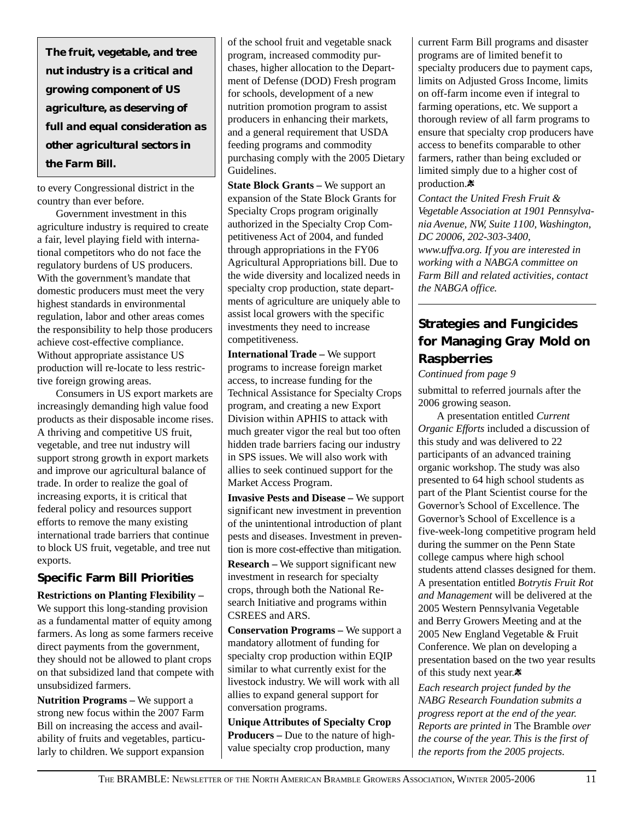*The fruit, vegetable, and tree nut industry is a critical and growing component of US agriculture, as deserving of full and equal consideration as other agricultural sectors in the Farm Bill.*

to every Congressional district in the country than ever before.

Government investment in this agriculture industry is required to create a fair, level playing field with international competitors who do not face the regulatory burdens of US producers. With the government's mandate that domestic producers must meet the very highest standards in environmental regulation, labor and other areas comes the responsibility to help those producers achieve cost-effective compliance. Without appropriate assistance US production will re-locate to less restrictive foreign growing areas.

Consumers in US export markets are increasingly demanding high value food products as their disposable income rises. A thriving and competitive US fruit, vegetable, and tree nut industry will support strong growth in export markets and improve our agricultural balance of trade. In order to realize the goal of increasing exports, it is critical that federal policy and resources support efforts to remove the many existing international trade barriers that continue to block US fruit, vegetable, and tree nut exports.

#### **Specific Farm Bill Priorities**

**Restrictions on Planting Flexibility –** We support this long-standing provision as a fundamental matter of equity among farmers. As long as some farmers receive direct payments from the government, they should not be allowed to plant crops on that subsidized land that compete with unsubsidized farmers.

**Nutrition Programs –** We support a strong new focus within the 2007 Farm Bill on increasing the access and availability of fruits and vegetables, particularly to children. We support expansion

of the school fruit and vegetable snack program, increased commodity purchases, higher allocation to the Department of Defense (DOD) Fresh program for schools, development of a new nutrition promotion program to assist producers in enhancing their markets, and a general requirement that USDA feeding programs and commodity purchasing comply with the 2005 Dietary Guidelines.

**State Block Grants –** We support an expansion of the State Block Grants for Specialty Crops program originally authorized in the Specialty Crop Competitiveness Act of 2004, and funded through appropriations in the FY06 Agricultural Appropriations bill. Due to the wide diversity and localized needs in specialty crop production, state departments of agriculture are uniquely able to assist local growers with the specific investments they need to increase competitiveness.

**International Trade –** We support programs to increase foreign market access, to increase funding for the Technical Assistance for Specialty Crops program, and creating a new Export Division within APHIS to attack with much greater vigor the real but too often hidden trade barriers facing our industry in SPS issues. We will also work with allies to seek continued support for the Market Access Program.

**Invasive Pests and Disease –** We support significant new investment in prevention of the unintentional introduction of plant pests and diseases. Investment in prevention is more cost-effective than mitigation.

**Research –** We support significant new investment in research for specialty crops, through both the National Research Initiative and programs within CSREES and ARS.

**Conservation Programs –** We support a mandatory allotment of funding for specialty crop production within EQIP similar to what currently exist for the livestock industry. We will work with all allies to expand general support for conversation programs.

**Unique Attributes of Specialty Crop Producers –** Due to the nature of highvalue specialty crop production, many

current Farm Bill programs and disaster programs are of limited benefit to specialty producers due to payment caps, limits on Adjusted Gross Income, limits on off-farm income even if integral to farming operations, etc. We support a thorough review of all farm programs to ensure that specialty crop producers have access to benefits comparable to other farmers, rather than being excluded or limited simply due to a higher cost of production.**※** 

*Contact the United Fresh Fruit & Vegetable Association at 1901 Pennsylvania Avenue, NW, Suite 1100, Washington, DC 20006, 202-303-3400, www.uffva.org. If you are interested in working with a NABGA committee on Farm Bill and related activities, contact the NABGA office.*

### **Strategies and Fungicides for Managing Gray Mold on Raspberries**

*Continued from page 9*

submittal to referred journals after the 2006 growing season.

A presentation entitled *Current Organic Efforts* included a discussion of this study and was delivered to 22 participants of an advanced training organic workshop. The study was also presented to 64 high school students as part of the Plant Scientist course for the Governor's School of Excellence. The Governor's School of Excellence is a five-week-long competitive program held during the summer on the Penn State college campus where high school students attend classes designed for them. A presentation entitled *Botrytis Fruit Rot and Management* will be delivered at the 2005 Western Pennsylvania Vegetable and Berry Growers Meeting and at the 2005 New England Vegetable & Fruit Conference. We plan on developing a presentation based on the two year results of this study next year.

*Each research project funded by the NABG Research Foundation submits a progress report at the end of the year. Reports are printed in* The Bramble *over the course of the year. This is the first of the reports from the 2005 projects.*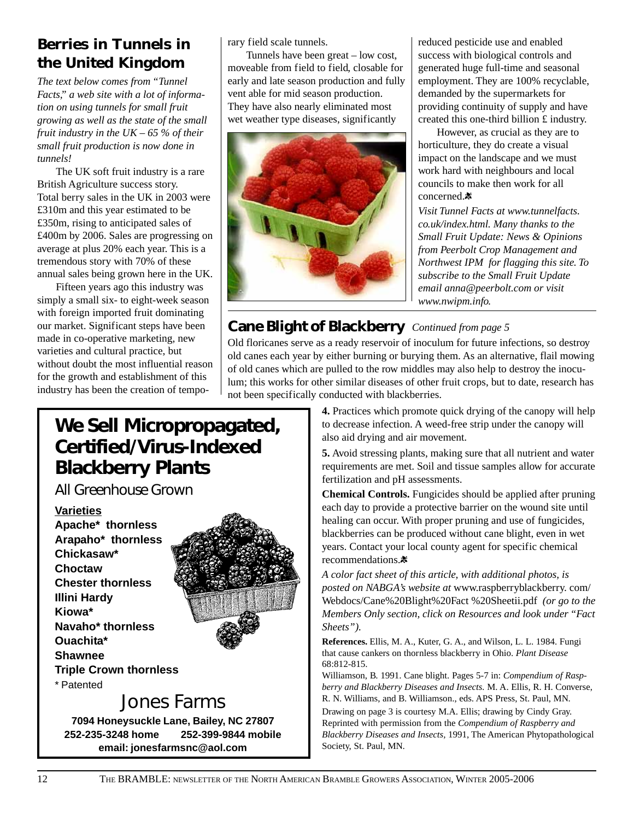### **Berries in Tunnels in the United Kingdom**

*The text below comes from "Tunnel Facts," a web site with a lot of information on using tunnels for small fruit growing as well as the state of the small fruit industry in the UK – 65 % of their small fruit production is now done in tunnels!*

The UK soft fruit industry is a rare British Agriculture success story. Total berry sales in the UK in 2003 were £310m and this year estimated to be £350m, rising to anticipated sales of £400m by 2006. Sales are progressing on average at plus 20% each year. This is a tremendous story with 70% of these annual sales being grown here in the UK.

Fifteen years ago this industry was simply a small six- to eight-week season with foreign imported fruit dominating our market. Significant steps have been made in co-operative marketing, new varieties and cultural practice, but without doubt the most influential reason for the growth and establishment of this industry has been the creation of temporary field scale tunnels.

Tunnels have been great – low cost, moveable from field to field, closable for early and late season production and fully vent able for mid season production. They have also nearly eliminated most wet weather type diseases, significantly



reduced pesticide use and enabled success with biological controls and generated huge full-time and seasonal employment. They are 100% recyclable, demanded by the supermarkets for providing continuity of supply and have created this one-third billion £ industry.

However, as crucial as they are to horticulture, they do create a visual impact on the landscape and we must work hard with neighbours and local councils to make then work for all concerned.<sup>\*</sup>

*Visit Tunnel Facts at www.tunnelfacts. co.uk/index.html. Many thanks to the Small Fruit Update: News & Opinions from Peerbolt Crop Management and Northwest IPM for flagging this site. To subscribe to the Small Fruit Update email anna@peerbolt.com or visit www.nwipm.info.*

### **Cane Blight of Blackberry** *Continued from page 5*

Old floricanes serve as a ready reservoir of inoculum for future infections, so destroy old canes each year by either burning or burying them. As an alternative, flail mowing of old canes which are pulled to the row middles may also help to destroy the inoculum; this works for other similar diseases of other fruit crops, but to date, research has not been specifically conducted with blackberries.

## **We Sell Micropropagated, Certified/Virus-Indexed Blackberry Plants**

*All Greenhouse Grown*

**Varieties Apache\* thornless Arapaho\* thornless Chickasaw\* Choctaw Chester thornless Illini Hardy Kiowa\* Navaho\* thornless Ouachita\* Shawnee Triple Crown thornless** \* Patented



### Jones Farms

**7094 Honeysuckle Lane, Bailey, NC 27807 252-235-3248 home 252-399-9844 mobile email: jonesfarmsnc@aol.com**

**4.** Practices which promote quick drying of the canopy will help to decrease infection. A weed-free strip under the canopy will also aid drying and air movement.

**5.** Avoid stressing plants, making sure that all nutrient and water requirements are met. Soil and tissue samples allow for accurate fertilization and pH assessments.

**Chemical Controls.** Fungicides should be applied after pruning each day to provide a protective barrier on the wound site until healing can occur. With proper pruning and use of fungicides, blackberries can be produced without cane blight, even in wet years. Contact your local county agent for specific chemical recommendations.

*A color fact sheet of this article, with additional photos, is posted on NABGA's website at* www.raspberryblackberry. com/ Webdocs/Cane%20Blight%20Fact %20Sheetii.pdf *(or go to the Members Only section, click on Resources and look under "Fact Sheets").*

**References.** Ellis, M. A., Kuter, G. A., and Wilson, L. L. 1984. Fungi that cause cankers on thornless blackberry in Ohio. *Plant Disease* 68:812-815.

Williamson, B. 1991. Cane blight. Pages 5-7 in: *Compendium of Raspberry and Blackberry Diseases and Insects.* M. A. Ellis, R. H. Converse, R. N. Williams, and B. Williamson., eds. APS Press, St. Paul, MN.

Drawing on page 3 is courtesy M.A. Ellis; drawing by Cindy Gray. Reprinted with permission from the *Compendium of Raspberry and Blackberry Diseases and Insects,* 1991, The American Phytopathological Society, St. Paul, MN.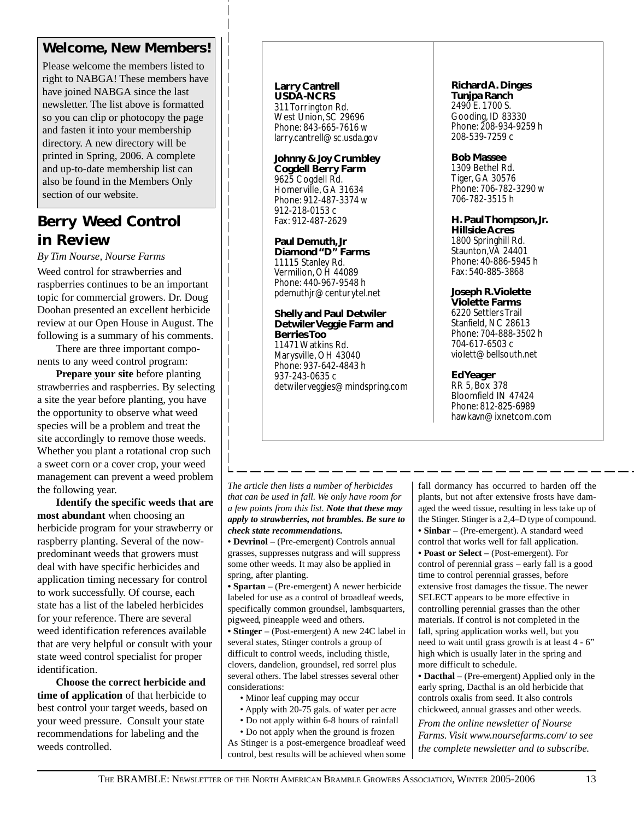### **Welcome, New Members!**

Please welcome the members listed to right to NABGA! These members have have joined NABGA since the last newsletter. The list above is formatted so you can clip or photocopy the page and fasten it into your membership directory. A new directory will be printed in Spring, 2006. A complete and up-to-date membership list can also be found in the Members Only section of our website.

### **Berry Weed Control in Review**

*By Tim Nourse, Nourse Farms* Weed control for strawberries and raspberries continues to be an important topic for commercial growers. Dr. Doug Doohan presented an excellent herbicide review at our Open House in August. The

following is a summary of his comments. There are three important components to any weed control program:

**Prepare your site** before planting strawberries and raspberries. By selecting a site the year before planting, you have the opportunity to observe what weed species will be a problem and treat the site accordingly to remove those weeds. Whether you plant a rotational crop such a sweet corn or a cover crop, your weed management can prevent a weed problem the following year.

**Identify the specific weeds that are most abundant** when choosing an herbicide program for your strawberry or raspberry planting. Several of the nowpredominant weeds that growers must deal with have specific herbicides and application timing necessary for control to work successfully. Of course, each state has a list of the labeled herbicides for your reference. There are several weed identification references available that are very helpful or consult with your state weed control specialist for proper identification.

**Choose the correct herbicide and time of application** of that herbicide to best control your target weeds, based on your weed pressure. Consult your state recommendations for labeling and the weeds controlled.

#### **Larry Cantrell USDA-NCRS**

311 Torrington Rd. West Union, SC 29696 Phone: 843-665-7616 w larry.cantrell@sc.usda.gov

**Johnny & Joy Crumbley Cogdell Berry Farm** 9625 Cogdell Rd. Homerville, GA 31634 Phone: 912-487-3374 w 912-218-0153 c Fax: 912-487-2629

**Paul Demuth, Jr Diamond "D" Farms** 11115 Stanley Rd. Vermilion, OH 44089 Phone: 440-967-9548 h pdemuthjr@centurytel.net

**Shelly and Paul Detwiler Detwiler Veggie Farm and Berries Too** 11471 Watkins Rd. Marysville, OH 43040 Phone: 937-642-4843 h 937-243-0635 c detwilerveggies@mindspring.com

#### **Richard A. Dinges**

**Tunjpa Ranch** 2490 E. 1700 S. Gooding, ID 83330 Phone: 208-934-9259 h 208-539-7259 c

#### **Bob Massee**

1309 Bethel Rd. Tiger, GA 30576 Phone: 706-782-3290 w 706-782-3515 h

#### **H. Paul Thompson, Jr. Hillside Acres**

1800 Springhill Rd. Staunton, VA 24401 Phone: 40-886-5945 h Fax: 540-885-3868

#### **Joseph R. Violette**

**Violette Farms** 6220 Settlers Trail Stanfield, NC 28613 Phone: 704-888-3502 h 704-617-6503 c violett@bellsouth.net

**Ed Yeager** RR 5, Box 378 Bloomfield IN 47424 Phone: 812-825-6989 hawkavn@ixnetcom.com

*The article then lists a number of herbicides that can be used in fall. We only have room for a few points from this list. Note that these may apply to strawberries, not brambles. Be sure to check state recommendations.*

**• Devrinol** – (Pre-emergent) Controls annual grasses, suppresses nutgrass and will suppress some other weeds. It may also be applied in spring, after planting.

**• Spartan** – (Pre-emergent) A newer herbicide labeled for use as a control of broadleaf weeds, specifically common groundsel, lambsquarters, pigweed, pineapple weed and others.

**• Stinger** – (Post-emergent) A new 24C label in several states, Stinger controls a group of difficult to control weeds, including thistle, clovers, dandelion, groundsel, red sorrel plus several others. The label stresses several other considerations:

• Minor leaf cupping may occur

- Apply with 20-75 gals. of water per acre
- Do not apply within 6-8 hours of rainfall

• Do not apply when the ground is frozen As Stinger is a post-emergence broadleaf weed control, best results will be achieved when some fall dormancy has occurred to harden off the plants, but not after extensive frosts have damaged the weed tissue, resulting in less take up of the Stinger. Stinger is a 2,4–D type of compound. **• Sinbar** – (Pre-emergent). A standard weed control that works well for fall application. **• Poast or Select –** (Post-emergent). For control of perennial grass – early fall is a good time to control perennial grasses, before extensive frost damages the tissue. The newer SELECT appears to be more effective in controlling perennial grasses than the other materials. If control is not completed in the fall, spring application works well, but you need to wait until grass growth is at least 4 - 6" high which is usually later in the spring and more difficult to schedule.

**• Dacthal** – (Pre-emergent) Applied only in the early spring, Dacthal is an old herbicide that controls oxalis from seed. It also controls chickweed, annual grasses and other weeds.

*From the online newsletter of Nourse Farms. Visit www.noursefarms.com/ to see the complete newsletter and to subscribe.*